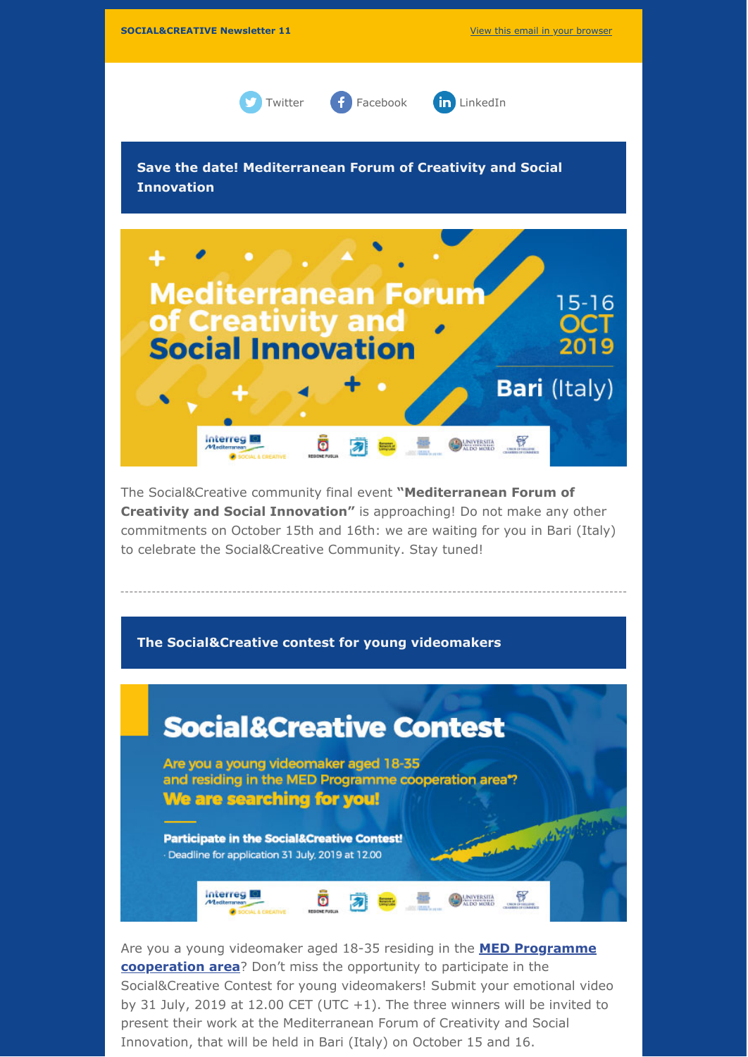

Are you a young videomaker aged 18-35 residing in the **MED Programme cooperation area**? Don't miss the opportunity to participate in the Social&Creative Contest for young videomakers! Submit your emotional video by 31 July, 2019 at 12.00 CET (UTC +1). The three winners will be invited to present their work at the Mediterranean Forum of Creativity and Social Innovation, that will be held in Bari (Italy) on October 15 and 16.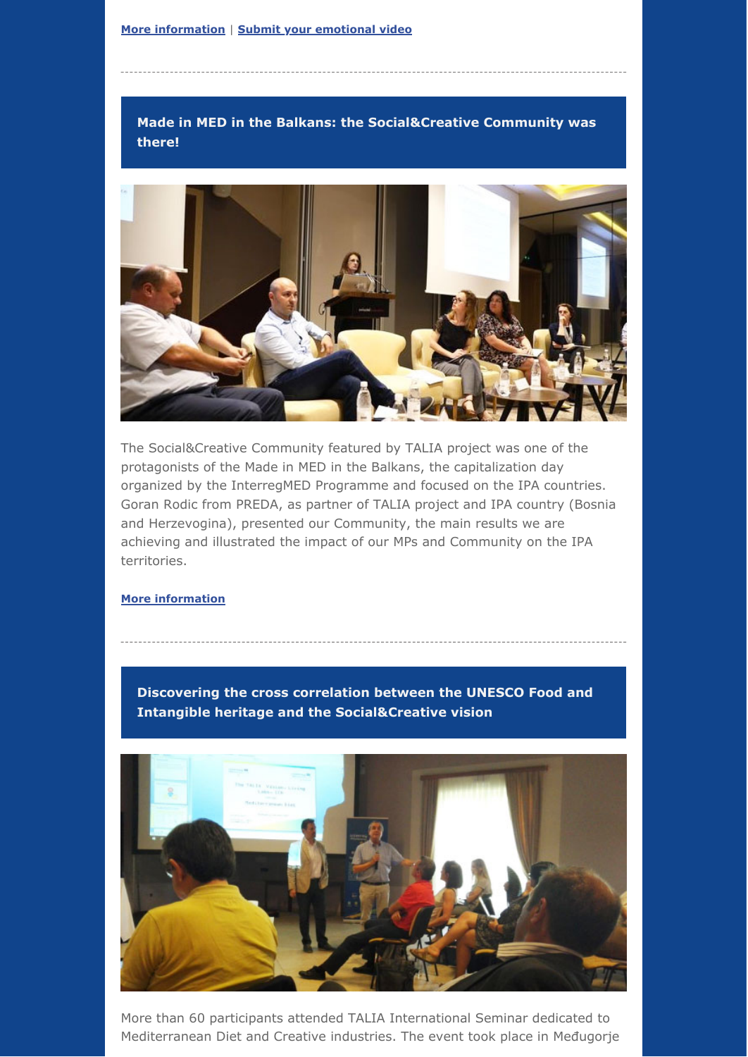# **Made in MED in the Balkans: the Social&Creative Community was there!**



The Social&Creative Community featured by TALIA project was one of the protagonists of the Made in MED in the Balkans, the capitalization day organized by the InterregMED Programme and focused on the IPA countries. Goran Rodic from PREDA, as partner of TALIA project and IPA country (Bosnia and Herzevogina), presented our Community, the main results we are achieving and illustrated the impact of our MPs and Community on the IPA territories.

### **More information**

**Discovering the cross correlation between the UNESCO Food and Intangible heritage and the Social&Creative vision** 



More than 60 participants attended TALIA International Seminar dedicated to Mediterranean Diet and Creative industries. The event took place in Međugorje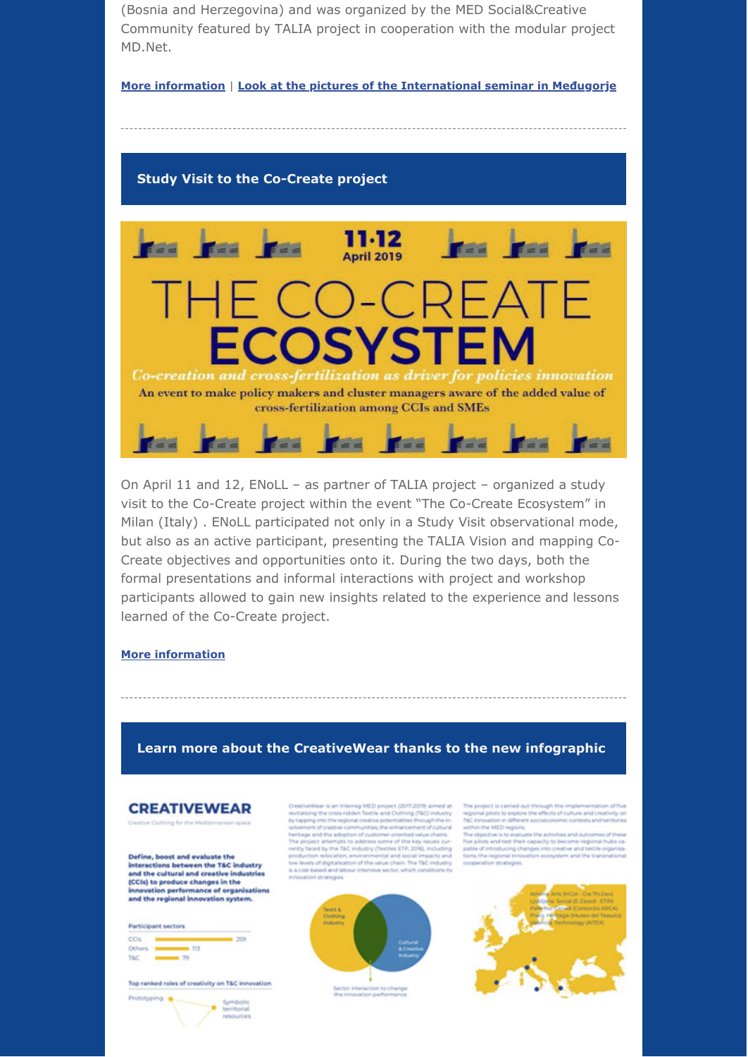(Bosnia and Herzegovina) and was organized by the MED Social&Creative Community featured by TALIA project in cooperation with the modular project MD.Net. 

#### **More information** | Look at the pictures of the International seminar in Međugorje

### **Study Visit to the Co-Create project**



On April 11 and 12, ENoLL – as partner of TALIA project – organized a study visit to the Co-Create project within the event "The Co-Create Ecosystem" in Milan (Italy) . ENoLL participated not only in a Study Visit observational mode, but also as an active participant, presenting the TALIA Vision and mapping Co-Create objectives and opportunities onto it. During the two days, both the formal presentations and informal interactions with project and workshop participants allowed to gain new insights related to the experience and lessons learned of the Co-Create project.

#### **More information**

### Learn more about the CreativeWear thanks to the new infographic

## **CREATIVEWEAR**

thing for the Mediterranean space

Define, boost and evaluate the interactions between the T&C industry<br>and the cultural and creative industries (CCIs) to produce changes in the<br>innovation performance of organisations<br>and the regional innovation system.

| Participant sectors |  |
|---------------------|--|
|                     |  |
|                     |  |

Top ranked roles of creativity on T&C innovation



CreativeWear is an Interroy MI,<br>O project (2017-2019) aimed at revisaining the crisis-ridden Testile and Cothing (TMC) industry the properties the<br>matching through the regional creative potentialisms through the interred<br> t trased and in<br>tion strategies.



The project is carried out through the implementation of regional plots to explore the effects of culture and creations lad involved in different sociolic<br>oncess contains and creations in the state of the state of the sta

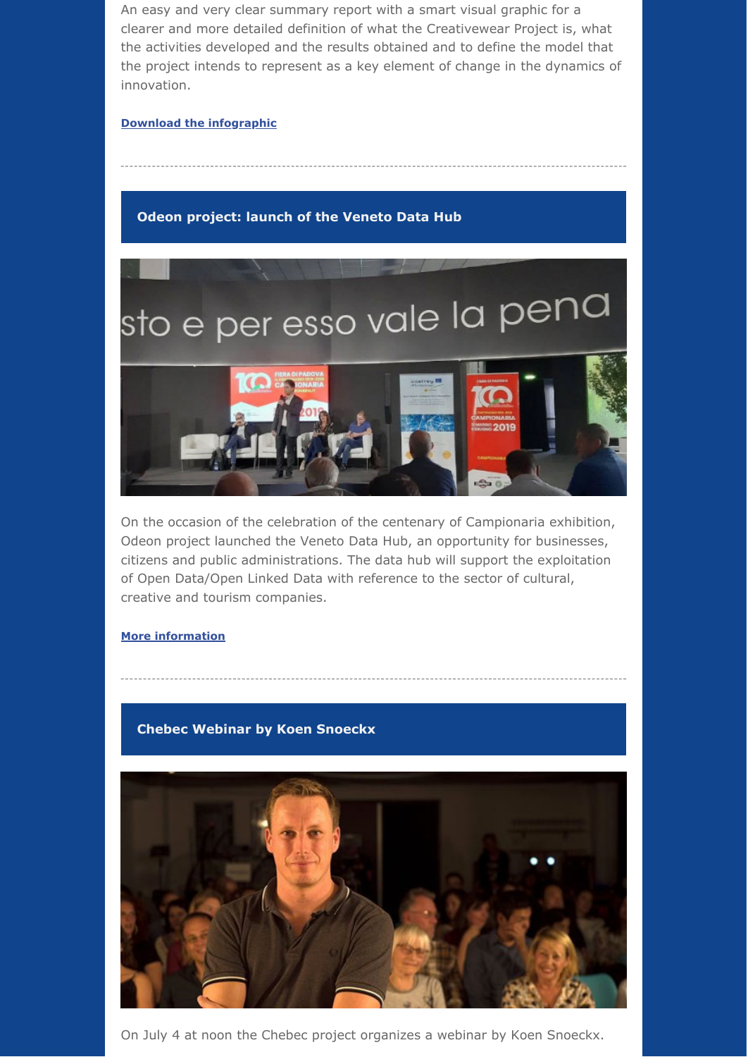An easy and very clear summary report with a smart visual graphic for a clearer and more detailed definition of what the Creativewear Project is, what the activities developed and the results obtained and to define the model that the project intends to represent as a key element of change in the dynamics of innovation. 

### **Download the infographic**

## **Odeon project: launch of the Veneto Data Hub**



On the occasion of the celebration of the centenary of Campionaria exhibition, Odeon project launched the Veneto Data Hub, an opportunity for businesses, citizens and public administrations. The data hub will support the exploitation of Open Data/Open Linked Data with reference to the sector of cultural, creative and tourism companies.

### **More information**

### **Chebec Webinar by Koen Snoeckx**



On July 4 at noon the Chebec project organizes a webinar by Koen Snoeckx.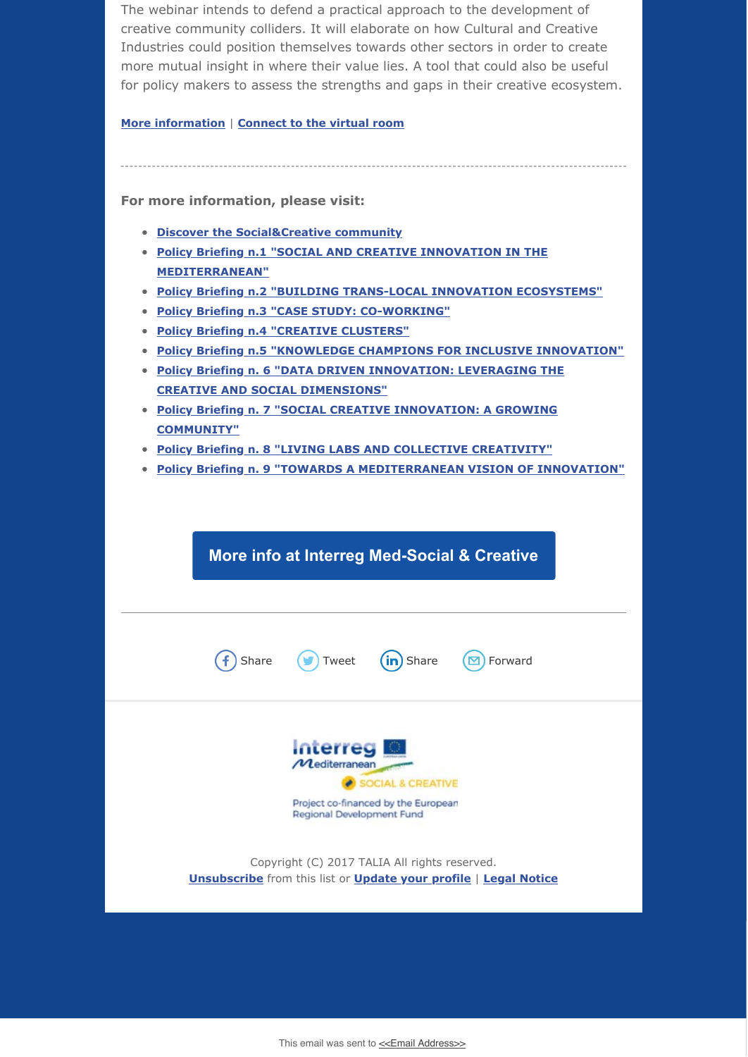The webinar intends to defend a practical approach to the development of creative community colliders. It will elaborate on how Cultural and Creative Industries could position themselves towards other sectors in order to create more mutual insight in where their value lies. A tool that could also be useful for policy makers to assess the strengths and gaps in their creative ecosystem.

**More information** | **Connect to the virtual room** 

For more information, please visit:

- **Discover the Social&Creative community**
- **Policy Briefing n.1 "SOCIAL AND CREATIVE INNOVATION IN THE MEDITERRANEAN"**
- **Policy Briefing n.2 "BUILDING TRANS-LOCAL INNOVATION ECOSYSTEMS"**
- **Policy Briefing n.3 "CASE STUDY: CO-WORKING"**
- **Policy Briefing n.4 "CREATIVE CLUSTERS"**
- **Policy Briefing n.5 "KNOWLEDGE CHAMPIONS FOR INCLUSIVE INNOVATION"**
- **Policy Briefing n. 6 "DATA DRIVEN INNOVATION: LEVERAGING THE CREATIVE AND SOCIAL DIMENSIONS"**
- **Policy Briefing n. 7 "SOCIAL CREATIVE INNOVATION: A GROWING COMMUNITY"**
- **Policy Briefing n. 8 "LIVING LABS AND COLLECTIVE CREATIVITY"**
- **Policy Briefing n. 9 "TOWARDS A MEDITERRANEAN VISION OF INNOVATION"**

**More info at Interreg Med-Social & Creative** 



Project co-financed by the European Regional Development Fund

Copyright (C) 2017 TALIA All rights reserved. **[Unsubscribe](https://guadalinfo.us14.list-manage.com/unsubscribe?u=7c0acc36fc6130b0cd2231719&id=ab07710453&e=[UNIQID]&c=8234635f24)** from this list or **Update your profile** | **Legal Notice** 

This email was sent to [<<Email Address>>](mailto:%3C%3CEmail%20Address%3E%3E)